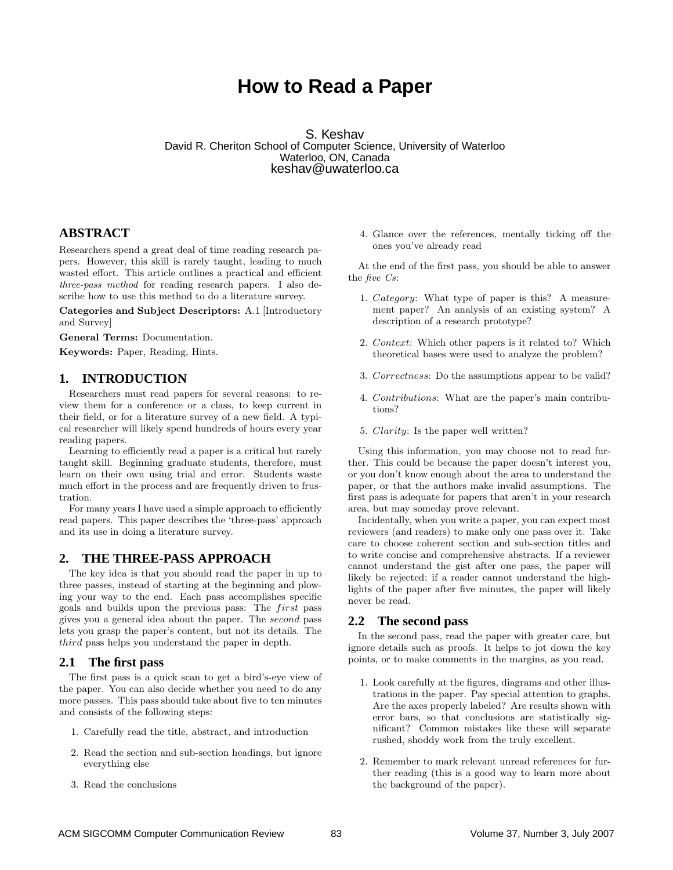# **How to Read a Paper**

S. Keshav David R. Cheriton School of Computer Science, University of Waterloo Waterloo, ON, Canada keshav@uwaterloo.ca

# **ABSTRACT**

Researchers spend a great deal of time reading research papers. However, this skill is rarely taught, leading to much wasted effort. This article outlines a practical and efficient three-pass method for reading research papers. I also describe how to use this method to do a literature survey.

Categories and Subject Descriptors: A.1 [Introductory and Survey]

General Terms: Documentation.

Keywords: Paper, Reading, Hints.

## **1. INTRODUCTION**

Researchers must read papers for several reasons: to review them for a conference or a class, to keep current in their field, or for a literature survey of a new field. A typical researcher will likely spend hundreds of hours every year reading papers.

Learning to efficiently read a paper is a critical but rarely taught skill. Beginning graduate students, therefore, must learn on their own using trial and error. Students waste much effort in the process and are frequently driven to frustration.

For many years I have used a simple approach to efficiently read papers. This paper describes the 'three-pass' approach and its use in doing a literature survey.

#### **2. THE THREE-PASS APPROACH**

The key idea is that you should read the paper in up to three passes, instead of starting at the beginning and plowing your way to the end. Each pass accomplishes specific goals and builds upon the previous pass: The first pass gives you a general idea about the paper. The second pass lets you grasp the paper's content, but not its details. The third pass helps you understand the paper in depth.

#### **2.1 The first pass**

The first pass is a quick scan to get a bird's-eye view of the paper. You can also decide whether you need to do any more passes. This pass should take about five to ten minutes and consists of the following steps:

- 1. Carefully read the title, abstract, and introduction
- 2. Read the section and sub-section headings, but ignore everything else
- 3. Read the conclusions

4. Glance over the references, mentally ticking off the ones you've already read

At the end of the first pass, you should be able to answer the five Cs:

- 1. Category: What type of paper is this? A measurement paper? An analysis of an existing system? A description of a research prototype?
- 2. Context: Which other papers is it related to? Which theoretical bases were used to analyze the problem?
- 3. Correctness: Do the assumptions appear to be valid?
- 4. Contributions: What are the paper's main contributions?
- 5. Clarity: Is the paper well written?

Using this information, you may choose not to read further. This could be because the paper doesn't interest you, or you don't know enough about the area to understand the paper, or that the authors make invalid assumptions. The first pass is adequate for papers that aren't in your research area, but may someday prove relevant.

Incidentally, when you write a paper, you can expect most reviewers (and readers) to make only one pass over it. Take care to choose coherent section and sub-section titles and to write concise and comprehensive abstracts. If a reviewer cannot understand the gist after one pass, the paper will likely be rejected; if a reader cannot understand the highlights of the paper after five minutes, the paper will likely never be read.

### **2.2 The second pass**

In the second pass, read the paper with greater care, but ignore details such as proofs. It helps to jot down the key points, or to make comments in the margins, as you read.

- 1. Look carefully at the figures, diagrams and other illustrations in the paper. Pay special attention to graphs. Are the axes properly labeled? Are results shown with error bars, so that conclusions are statistically significant? Common mistakes like these will separate rushed, shoddy work from the truly excellent.
- 2. Remember to mark relevant unread references for further reading (this is a good way to learn more about the background of the paper).